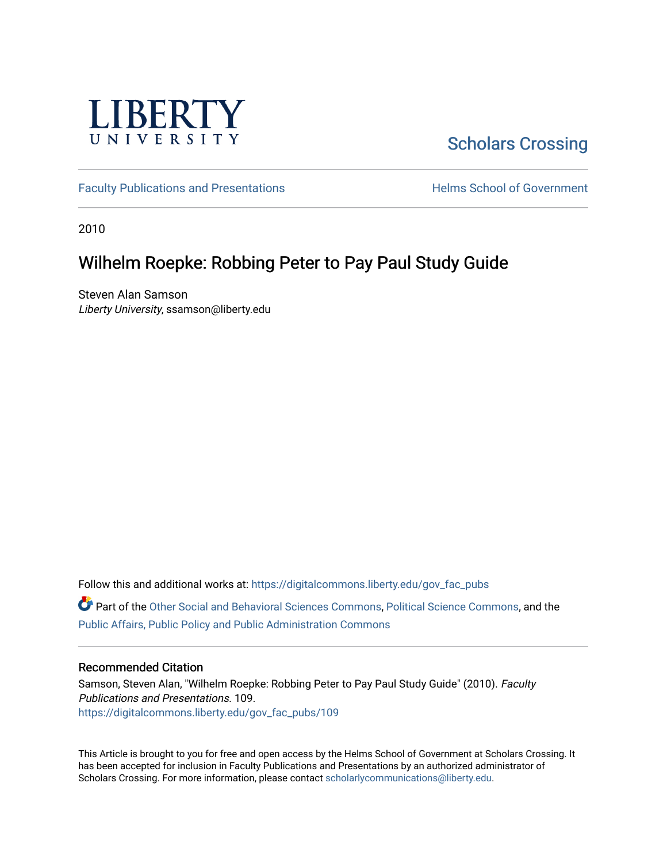

# [Scholars Crossing](https://digitalcommons.liberty.edu/)

[Faculty Publications and Presentations](https://digitalcommons.liberty.edu/gov_fac_pubs) **Exercise School of Government** 

2010

### Wilhelm Roepke: Robbing Peter to Pay Paul Study Guide

Steven Alan Samson Liberty University, ssamson@liberty.edu

Follow this and additional works at: [https://digitalcommons.liberty.edu/gov\\_fac\\_pubs](https://digitalcommons.liberty.edu/gov_fac_pubs?utm_source=digitalcommons.liberty.edu%2Fgov_fac_pubs%2F109&utm_medium=PDF&utm_campaign=PDFCoverPages)

Part of the [Other Social and Behavioral Sciences Commons](http://network.bepress.com/hgg/discipline/437?utm_source=digitalcommons.liberty.edu%2Fgov_fac_pubs%2F109&utm_medium=PDF&utm_campaign=PDFCoverPages), [Political Science Commons](http://network.bepress.com/hgg/discipline/386?utm_source=digitalcommons.liberty.edu%2Fgov_fac_pubs%2F109&utm_medium=PDF&utm_campaign=PDFCoverPages), and the [Public Affairs, Public Policy and Public Administration Commons](http://network.bepress.com/hgg/discipline/393?utm_source=digitalcommons.liberty.edu%2Fgov_fac_pubs%2F109&utm_medium=PDF&utm_campaign=PDFCoverPages)

#### Recommended Citation

Samson, Steven Alan, "Wilhelm Roepke: Robbing Peter to Pay Paul Study Guide" (2010). Faculty Publications and Presentations. 109. [https://digitalcommons.liberty.edu/gov\\_fac\\_pubs/109](https://digitalcommons.liberty.edu/gov_fac_pubs/109?utm_source=digitalcommons.liberty.edu%2Fgov_fac_pubs%2F109&utm_medium=PDF&utm_campaign=PDFCoverPages)

This Article is brought to you for free and open access by the Helms School of Government at Scholars Crossing. It has been accepted for inclusion in Faculty Publications and Presentations by an authorized administrator of Scholars Crossing. For more information, please contact [scholarlycommunications@liberty.edu.](mailto:scholarlycommunications@liberty.edu)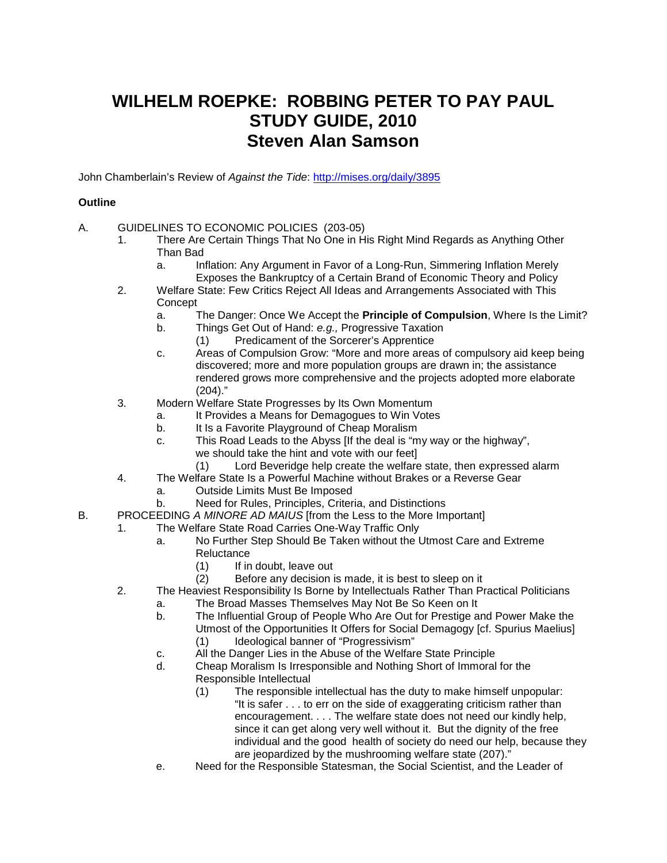## **WILHELM ROEPKE: ROBBING PETER TO PAY PAUL STUDY GUIDE, 2010 Steven Alan Samson**

John Chamberlain's Review of *Against the Tide*:<http://mises.org/daily/3895>

#### **Outline**

- A. GUIDELINES TO ECONOMIC POLICIES (203-05)
	- 1. There Are Certain Things That No One in His Right Mind Regards as Anything Other Than Bad
		- a. Inflation: Any Argument in Favor of a Long-Run, Simmering Inflation Merely Exposes the Bankruptcy of a Certain Brand of Economic Theory and Policy
	- 2. Welfare State: Few Critics Reject All Ideas and Arrangements Associated with This **Concept** 
		- a. The Danger: Once We Accept the **Principle of Compulsion**, Where Is the Limit?
		- b. Things Get Out of Hand: *e.g.,* Progressive Taxation
			- (1) Predicament of the Sorcerer's Apprentice
		- c. Areas of Compulsion Grow: "More and more areas of compulsory aid keep being discovered; more and more population groups are drawn in; the assistance rendered grows more comprehensive and the projects adopted more elaborate (204)."
	- 3. Modern Welfare State Progresses by Its Own Momentum
		- a. It Provides a Means for Demagogues to Win Votes
		- b. It Is a Favorite Playground of Cheap Moralism
		- c. This Road Leads to the Abyss [If the deal is "my way or the highway", we should take the hint and vote with our feet]<br>(1) Lord Beveridge help create the welfare
			- Lord Beveridge help create the welfare state, then expressed alarm
	- 4. The Welfare State Is a Powerful Machine without Brakes or a Reverse Gear
		- a. Outside Limits Must Be Imposed
		- b. Need for Rules, Principles, Criteria, and Distinctions
- B. PROCEEDING *A MINORE AD MAIUS* [from the Less to the More Important]
	- 1. The Welfare State Road Carries One-Way Traffic Only
		- a. No Further Step Should Be Taken without the Utmost Care and Extreme Reluctance
			- (1) If in doubt, leave out
			- (2) Before any decision is made, it is best to sleep on it
		- 2. The Heaviest Responsibility Is Borne by Intellectuals Rather Than Practical Politicians
			- a. The Broad Masses Themselves May Not Be So Keen on It
				- b. The Influential Group of People Who Are Out for Prestige and Power Make the Utmost of the Opportunities It Offers for Social Demagogy [cf. Spurius Maelius]
					- (1) Ideological banner of "Progressivism"
				- c. All the Danger Lies in the Abuse of the Welfare State Principle
				- d. Cheap Moralism Is Irresponsible and Nothing Short of Immoral for the Responsible Intellectual
					- (1) The responsible intellectual has the duty to make himself unpopular: "It is safer . . . to err on the side of exaggerating criticism rather than encouragement. . . . The welfare state does not need our kindly help, since it can get along very well without it. But the dignity of the free individual and the good health of society do need our help, because they are jeopardized by the mushrooming welfare state (207)."
				- e. Need for the Responsible Statesman, the Social Scientist, and the Leader of